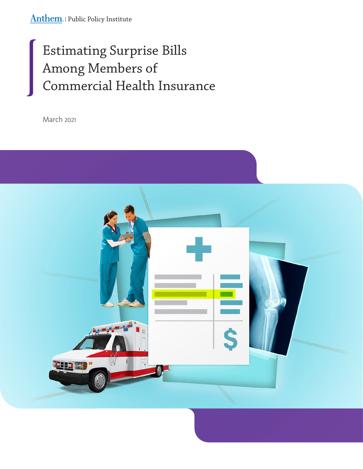Anthem. | Public Policy Institute

# Estimating Surprise Bills Among Members of Commercial Health Insurance

March 2021

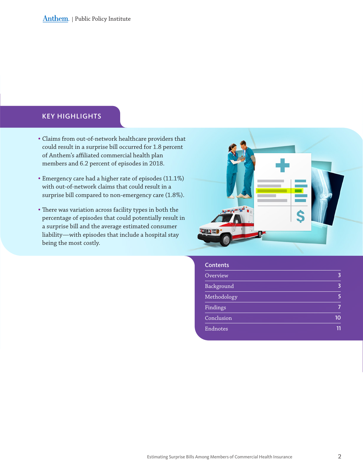### KEY HIGHLIGHTS

- Claims from out-of-network healthcare providers that could result in a surprise bill occurred for 1.8 percent of Anthem's affiliated commercial health plan members and 6.2 percent of episodes in 2018.
- Emergency care had a higher rate of episodes (11.1%) with out-of-network claims that could result in a surprise bill compared to non-emergency care (1.8%).
- There was variation across facility types in both the percentage of episodes that could potentially result in a surprise bill and the average estimated consumer liability—with episodes that include a hospital stay being the most costly.



#### **Contents**

| Overview    | 3  |
|-------------|----|
| Background  | 3  |
| Methodology |    |
| Findings    |    |
| Conclusion  | 10 |
| Endnotes    |    |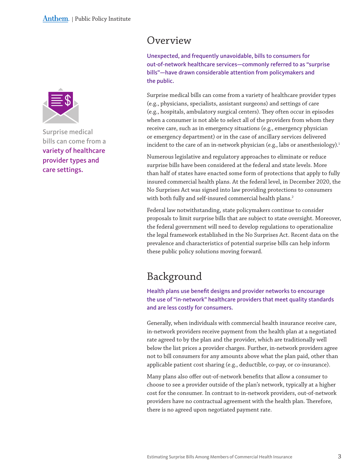<span id="page-2-0"></span>

Surprise medical bills can come from a variety of healthcare provider types and care settings.

## Overview

Unexpected, and frequently unavoidable, bills to consumers for out-of-network healthcare services—commonly referred to as "surprise bills"—have drawn considerable attention from policymakers and the public.

Surprise medical bills can come from a variety of healthcare provider types (e.g., physicians, specialists, assistant surgeons) and settings of care (e.g., hospitals, ambulatory surgical centers). They often occur in episodes when a consumer is not able to select all of the providers from whom they receive care, such as in emergency situations (e.g., emergency physician or emergency department) or in the case of ancillary services delivered incident to the care of an in-network physician (e.g., labs or anesthesiology).<sup>1</sup>

Numerous legislative and regulatory approaches to eliminate or reduce surprise bills have been considered at the federal and state levels. More than half of states have enacted some form of protections that apply to fully insured commercial health plans. At the federal level, in December 2020, the No Surprises Act was signed into law providing protections to consumers with both fully and self-insured commercial health plans. $^2$ 

Federal law notwithstanding, state policymakers continue to consider proposals to limit surprise bills that are subject to state oversight. Moreover, the federal government will need to develop regulations to operationalize the legal framework established in the No Surprises Act. Recent data on the prevalence and characteristics of potential surprise bills can help inform these public policy solutions moving forward.

# Background

Health plans use benefit designs and provider networks to encourage the use of "in-network" healthcare providers that meet quality standards and are less costly for consumers.

Generally, when individuals with commercial health insurance receive care, in-network providers receive payment from the health plan at a negotiated rate agreed to by the plan and the provider, which are traditionally well below the list prices a provider charges. Further, in-network providers agree not to bill consumers for any amounts above what the plan paid, other than applicable patient cost sharing (e.g., deductible, co-pay, or co-insurance).

Many plans also offer out-of-network benefits that allow a consumer to choose to see a provider outside of the plan's network, typically at a higher cost for the consumer. In contrast to in-network providers, out-of-network providers have no contractual agreement with the health plan. Therefore, there is no agreed upon negotiated payment rate.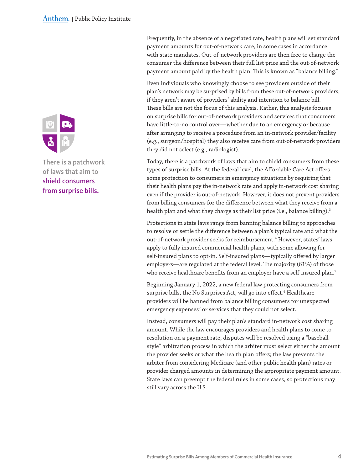Frequently, in the absence of a negotiated rate, health plans will set standard payment amounts for out-of-network care, in some cases in accordance with state mandates. Out-of-network providers are then free to charge the consumer the difference between their full list price and the out-of-network payment amount paid by the health plan. This is known as "balance billing."

Even individuals who knowingly choose to see providers outside of their plan's network may be surprised by bills from these out-of-network providers, if they aren't aware of providers' ability and intention to balance bill. These bills are not the focus of this analysis. Rather, this analysis focuses on surprise bills for out-of-network providers and services that consumers have little-to-no control over—whether due to an emergency or because after arranging to receive a procedure from an in-network provider/facility (e.g., surgeon/hospital) they also receive care from out-of-network providers they did not select (e.g., radiologist).

Today, there is a patchwork of laws that aim to shield consumers from these types of surprise bills. At the federal level, the Affordable Care Act offers some protection to consumers in emergency situations by requiring that their health plans pay the in-network rate and apply in-network cost sharing even if the provider is out-of-network. However, it does not prevent providers from billing consumers for the difference between what they receive from a health plan and what they charge as their list price (i.e., balance billing).<sup>3</sup>

Protections in state laws range from banning balance billing to approaches to resolve or settle the difference between a plan's typical rate and what the out-of-network provider seeks for reimbursement.<sup>4</sup> However, states' laws apply to fully insured commercial health plans, with some allowing for self-insured plans to opt-in. Self-insured plans—typically offered by larger employers—are regulated at the federal level. The majority (61%) of those who receive healthcare benefits from an employer have a self-insured plan.<sup>5</sup>

Beginning January 1, 2022, a new federal law protecting consumers from surprise bills, the No Surprises Act, will go into effect.<sup>6</sup> Healthcare providers will be banned from balance billing consumers for unexpected emergency expenses<sup>7</sup> or services that they could not select.

Instead, consumers will pay their plan's standard in-network cost sharing amount. While the law encourages providers and health plans to come to resolution on a payment rate, disputes will be resolved using a "baseball style" arbitration process in which the arbiter must select either the amount the provider seeks or what the health plan offers; the law prevents the arbiter from considering Medicare (and other public health plan) rates or provider charged amounts in determining the appropriate payment amount. State laws can preempt the federal rules in some cases, so protections may still vary across the U.S.



There is a patchwork of laws that aim to shield consumers from surprise bills.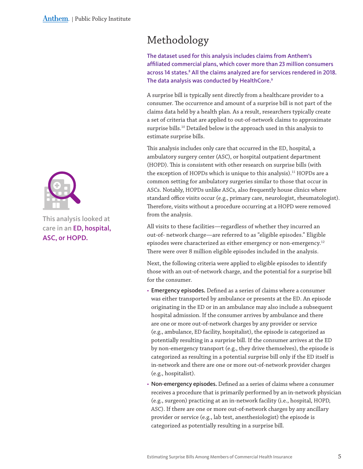

This analysis looked at care in an ED, hospital, ASC, or HOPD.

# <span id="page-4-0"></span>Methodology

The dataset used for this analysis includes claims from Anthem's affiliated commercial plans, which cover more than 23 million consumers across 14 states.<sup>8</sup> All the claims analyzed are for services rendered in 2018. The data analysis was conducted by HealthCore.<sup>9</sup>

A surprise bill is typically sent directly from a healthcare provider to a consumer. The occurrence and amount of a surprise bill is not part of the claims data held by a health plan. As a result, researchers typically create a set of criteria that are applied to out-of-network claims to approximate surprise bills.<sup>10</sup> Detailed below is the approach used in this analysis to estimate surprise bills.

This analysis includes only care that occurred in the ED, hospital, a ambulatory surgery center (ASC), or hospital outpatient department (HOPD). This is consistent with other research on surprise bills (with the exception of HOPDs which is unique to this analysis).<sup>11</sup> HOPDs are a common setting for ambulatory surgeries similar to those that occur in ASCs. Notably, HOPDs unlike ASCs, also frequently house clinics where standard office visits occur (e.g., primary care, neurologist, rheumatologist). Therefore, visits without a procedure occurring at a HOPD were removed from the analysis.

All visits to these facilities—regardless of whether they incurred an out-of- network charge—are referred to as "eligible episodes." Eligible episodes were characterized as either emergency or non-emergency.<sup>12</sup> There were over 8 million eligible episodes included in the analysis.

Next, the following criteria were applied to eligible episodes to identify those with an out-of-network charge, and the potential for a surprise bill for the consumer.

- Emergency episodes. Defined as a series of claims where a consumer was either transported by ambulance or presents at the ED. An episode originating in the ED or in an ambulance may also include a subsequent hospital admission. If the consumer arrives by ambulance and there are one or more out-of-network charges by any provider or service (e.g., ambulance, ED facility, hospitalist), the episode is categorized as potentially resulting in a surprise bill. If the consumer arrives at the ED by non-emergency transport (e.g., they drive themselves), the episode is categorized as resulting in a potential surprise bill only if the ED itself is in-network and there are one or more out-of-network provider charges (e.g., hospitalist).
- Non-emergency episodes. Defined as a series of claims where a consumer receives a procedure that is primarily performed by an in-network physician (e.g., surgeon) practicing at an in-network facility (i.e., hospital, HOPD, ASC). If there are one or more out-of-network charges by any ancillary provider or service (e.g., lab test, anesthesiologist) the episode is categorized as potentially resulting in a surprise bill.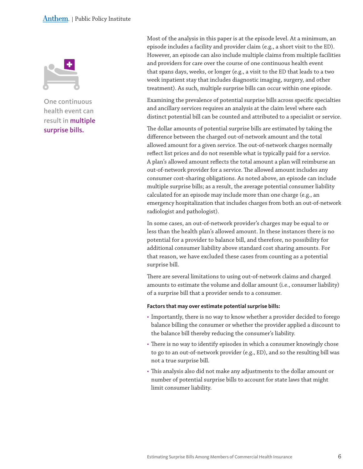#### <span id="page-5-0"></span>Anthem. | Public Policy Institute



One continuous health event can result in multiple surprise bills.

Most of the analysis in this paper is at the episode level. At a minimum, an episode includes a facility and provider claim (e.g., a short visit to the ED). However, an episode can also include multiple claims from multiple facilities and providers for care over the course of one continuous health event that spans days, weeks, or longer (e.g., a visit to the ED that leads to a two week inpatient stay that includes diagnostic imaging, surgery, and other treatment). As such, multiple surprise bills can occur within one episode.

Examining the prevalence of potential surprise bills across specific specialties and ancillary services requires an analysis at the claim level where each distinct potential bill can be counted and attributed to a specialist or service.

The dollar amounts of potential surprise bills are estimated by taking the difference between the charged out-of-network amount and the total allowed amount for a given service. The out-of-network charges normally reflect list prices and do not resemble what is typically paid for a service. A plan's allowed amount reflects the total amount a plan will reimburse an out-of-network provider for a service. The allowed amount includes any consumer cost-sharing obligations. As noted above, an episode can include multiple surprise bills; as a result, the average potential consumer liability calculated for an episode may include more than one charge (e.g., an emergency hospitalization that includes charges from both an out-of-network radiologist and pathologist).

In some cases, an out-of-network provider's charges may be equal to or less than the health plan's allowed amount. In these instances there is no potential for a provider to balance bill, and therefore, no possibility for additional consumer liability above standard cost sharing amounts. For that reason, we have excluded these cases from counting as a potential surprise bill.

There are several limitations to using out-of-network claims and charged amounts to estimate the volume and dollar amount (i.e., consumer liability) of a surprise bill that a provider sends to a consumer.

**Factors that may over estimate potential surprise bills:** 

- Importantly, there is no way to know whether a provider decided to forego balance billing the consumer or whether the provider applied a discount to the balance bill thereby reducing the consumer's liability.
- There is no way to identify episodes in which a consumer knowingly chose to go to an out-of-network provider (e.g., ED), and so the resulting bill was not a true surprise bill.
- This analysis also did not make any adjustments to the dollar amount or number of potential surprise bills to account for state laws that might limit consumer liability.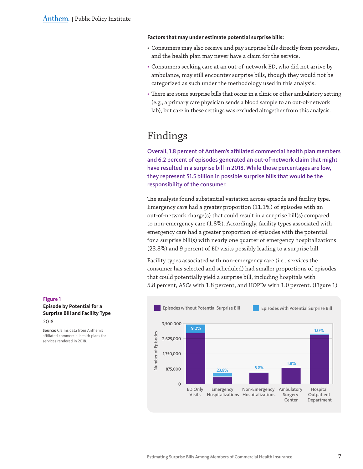#### <span id="page-6-0"></span>**Factors that may under estimate potential surprise bills:**

- Consumers may also receive and pay surprise bills directly from providers, and the health plan may never have a claim for the service.
- Consumers seeking care at an out-of-network ED, who did not arrive by ambulance, may still encounter surprise bills, though they would not be categorized as such under the methodology used in this analysis.
- There are some surprise bills that occur in a clinic or other ambulatory setting (e.g., a primary care physician sends a blood sample to an out-of-network lab), but care in these settings was excluded altogether from this analysis.

# Findings

Overall, 1.8 percent of Anthem's affiliated commercial health plan members and 6.2 percent of episodes generated an out-of-network claim that might have resulted in a surprise bill in 2018. While those percentages are low, they represent \$1.5 billion in possible surprise bills that would be the responsibility of the consumer.

The analysis found substantial variation across episode and facility type. Emergency care had a greater proportion (11.1%) of episodes with an out-of-network charge(s) that could result in a surprise bill(s) compared to non-emergency care (1.8%). Accordingly, facility types associated with emergency care had a greater proportion of episodes with the potential for a surprise bill(s) with nearly one quarter of emergency hospitalizations (23.8%) and 9 percent of ED visits possibly leading to a surprise bill.

Facility types associated with non-emergency care (i.e., services the consumer has selected and scheduled) had smaller proportions of episodes that could potentially yield a surprise bill, including hospitals with 5.8 percent, ASCs with 1.8 percent, and HOPDs with 1.0 percent. (Figure 1)



**Figure 1 Episode by Potential for a Surprise Bill and Facility Type** 2018

**Source:** Claims data from Anthem's affiliated commercial health plans for services rendered in 2018.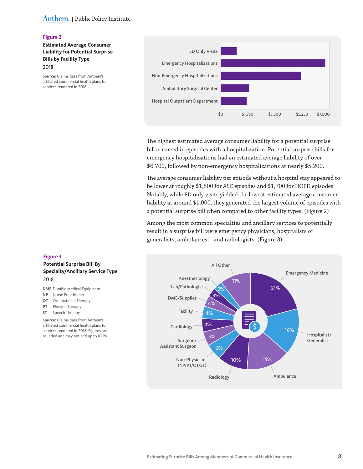### Anthem. | Public Policy Institute

#### **Figure 2**

### **Estimated Average Consumer Liability for Potential Surprise Bills by Facility Type**

2018

**Source:** Claims data from Anthem's affiliated commercial health plans for services rendered in 2018.



The highest estimated average consumer liability for a potential surprise bill occurred in episodes with a hospitalization. Potential surprise bills for emergency hospitalizations had an estimated average liability of over \$6,700, followed by non-emergency hospitalizations at nearly \$5,200.

The average consumer liability per episode without a hospital stay appeared to be lower at roughly \$1,800 for ASC episodes and \$1,700 for HOPD episodes. Notably, while ED only visits yielded the lowest estimated average consumer liability at around \$1,000, they generated the largest volume of episodes with a potential surprise bill when compared to other facility types. (Figure 2)

Among the most common specialties and ancillary services to potentially result in a surprise bill were emergency physicians, hospitalists or generalists, ambulances,<sup>13</sup> and radiologists. (Figure 3)



#### **Figure 3**

**Potential Surprise Bill By Specialty/Ancillary Service Type** 2018

**DME** Durable Medical Equipment

- **NP** Nurse Practitioner
- **OT** Occupational Therapy
- **PT** Physical Therapy
- **ST** Speech Therapy

**Source:** Claims data from Anthem's affiliated commercial health plans for services rendered in 2018. Figures are rounded and may not add up to 100%.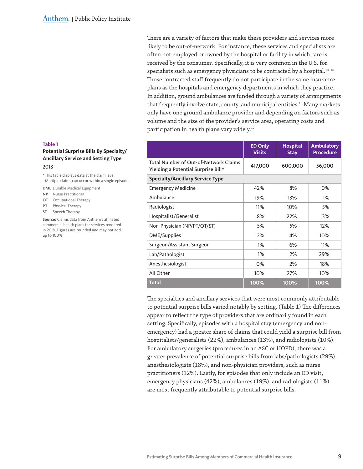There are a variety of factors that make these providers and services more likely to be out-of-network. For instance, these services and specialists are often not employed or owned by the hospital or facility in which care is received by the consumer. Specifically, it is very common in the U.S. for specialists such as emergency physicians to be contracted by a hospital.<sup>14,15</sup> Those contracted staff frequently do not participate in the same insurance plans as the hospitals and emergency departments in which they practice. In addition, ground ambulances are funded through a variety of arrangements that frequently involve state, county, and municipal entities.<sup>16</sup> Many markets only have one ground ambulance provider and depending on factors such as volume and the size of the provider's service area, operating costs and participation in health plans vary widely.<sup>17</sup>

|                                                                              | <b>ED Only</b><br><b>Visits</b> | <b>Hospital</b><br><b>Stay</b> | <b>Ambulatory</b><br><b>Procedure</b> |
|------------------------------------------------------------------------------|---------------------------------|--------------------------------|---------------------------------------|
| Total Number of Out-of-Network Claims<br>Yielding a Potential Surprise Bill* | 417,000                         | 600,000                        | 56,000                                |
| <b>Specialty/Ancillary Service Type</b>                                      |                                 |                                |                                       |
| <b>Emergency Medicine</b>                                                    | 42%                             | 8%                             | 0%                                    |
| Ambulance                                                                    | 19%                             | 13%                            | $1\%$                                 |
| Radiologist                                                                  | 11%                             | 10%                            | 5%                                    |
| Hospitalist/Generalist                                                       | 8%                              | 22%                            | 3%                                    |
| Non-Physician (NP/PT/OT/ST)                                                  | 5%                              | 5%                             | 12%                                   |
| DME/Supplies                                                                 | 2%                              | 4%                             | 10%                                   |
| Surgeon/Assistant Surgeon                                                    | $1\%$                           | 6%                             | 11%                                   |
| Lab/Pathologist                                                              | $1\%$                           | 2%                             | 29%                                   |
| Anesthesiologist                                                             | 0%                              | 2%                             | 18%                                   |
| All Other                                                                    | 10%                             | 27%                            | $10\%$                                |
| <b>Total</b>                                                                 | 100%                            | 100%                           | 100%                                  |

The specialties and ancillary services that were most commonly attributable to potential surprise bills varied notably by setting. (Table 1) The differences appear to reflect the type of providers that are ordinarily found in each setting. Specifically, episodes with a hospital stay (emergency and nonemergency) had a greater share of claims that could yield a surprise bill from hospitalists/generalists (22%), ambulances (13%), and radiologists (10%). For ambulatory surgeries (procedures in an ASC or HOPD), there was a greater prevalence of potential surprise bills from labs/pathologists (29%), anesthesiologists (18%), and non-physician providers, such as nurse practitioners (12%). Lastly, for episodes that only include an ED visit, emergency physicians (42%), ambulances (19%), and radiologists (11%) are most frequently attributable to potential surprise bills.

### **Table 1**

#### **Potential Surprise Bills By Specialty/ Ancillary Service and Setting Type**

#### 2018

\*This table displays data at the claim level. Multiple claims can occur within a single episode.

**DME** Durable Medical Equipment

- **NP** Nurse Practitioner
- **OT** Occupational Therapy
- **PT** Physical Therapy
- **ST** Speech Therapy

**Source:** Claims data from Anthem's affiliated commercial health plans for services rendered in 2018. Figures are rounded and may not add up to 100%.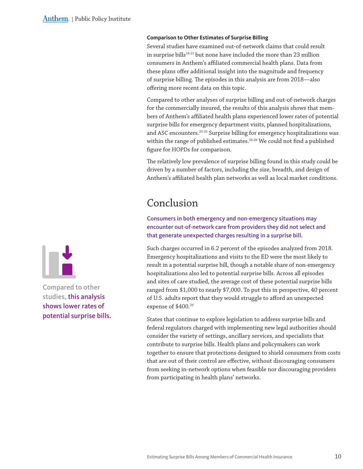#### <span id="page-9-0"></span>**Comparison to Other Estimates of Surprise Billing**

Several studies have examined out-of-network claims that could result in surprise bills<sup>18-21</sup> but none have included the more than 23 million consumers in Anthem's affiliated commercial health plans. Data from these plans offer additional insight into the magnitude and frequency of surprise billing. The episodes in this analysis are from 2018—also offering more recent data on this topic.

Compared to other analyses of surprise billing and out-of-network charges for the commercially insured, the results of this analysis shows that members of Anthem's affiliated health plans experienced lower rates of potential surprise bills for emergency department visits, planned hospitalizations, and ASC encounters.<sup>22-25</sup> Surprise billing for emergency hospitalizations was within the range of published estimates.<sup>26-28</sup> We could not find a published figure for HOPDs for comparison.

The relatively low prevalence of surprise billing found in this study could be driven by a number of factors, including the size, breadth, and design of Anthem's affiliated health plan networks as well as local market conditions.

# Conclusion

Consumers in both emergency and non-emergency situations may encounter out-of-network care from providers they did not select and that generate unexpected charges resulting in a surprise bill.

Such charges occurred in 6.2 percent of the episodes analyzed from 2018. Emergency hospitalizations and visits to the ED were the most likely to result in a potential surprise bill, though a notable share of non-emergency hospitalizations also led to potential surprise bills. Across all episodes and sites of care studied, the average cost of these potential surprise bills ranged from \$1,000 to nearly \$7,000. To put this in perspective, 40 percent of U.S. adults report that they would struggle to afford an unexpected expense of \$400.<sup>29</sup>

States that continue to explore legislation to address surprise bills and federal regulators charged with implementing new legal authorities should consider the variety of settings, ancillary services, and specialists that contribute to surprise bills. Health plans and policymakers can work together to ensure that protections designed to shield consumers from costs that are out of their control are effective, without discouraging consumers from seeking in-network options when feasible nor discouraging providers from participating in health plans' networks.



Compared to other studies, this analysis shows lower rates of potential surprise bills.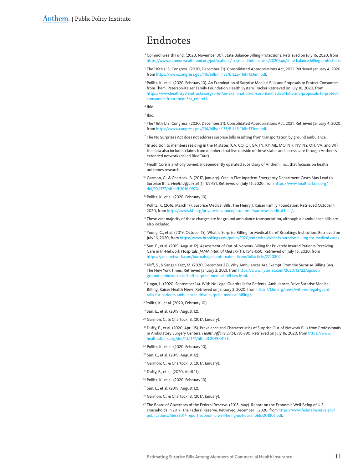# <span id="page-10-0"></span>Endnotes

- <sup>1</sup> Commonwealth Fund. (2020, November 30). State Balance-Billing Protections. Retrieved on July 16, 2020, from [https://www.commonwealthfund.org/publications/maps-and-interactives/](https://www.commonwealthfund.org/publications/maps-and-interactives/2020/apr/state-balance-billing-protections)2020/apr/state-balance-billing-protections.
- <sup>2</sup> The 116th U.S. Congress. (2020, December 21). Consolidated Appropriations Act, 2021. Retrieved January 4, 2020, from [https://www.congress.gov/](https://www.congress.gov/116/bills/hr133/BILLS-116hr133enr.pdf)116/bills/hr133/BILLS-116hr133enr.pdf.
- <sup>3</sup> Pollitz, K., et al. (2020, February 10). An Examination of Surprise Medical Bills and Proposals to Protect Consumers from Them. Peterson-Kaiser Family Foundation Health System Tracker Retrieved on July 16, 2020, from [https://www.healthsystemtracker.org/brief/an-examination-of-surprise-medical-bills-and-proposals-to-protect](https://www.healthsystemtracker.org/brief/an-examination-of-surprise-medical-bills-and-proposals-to-)[consumers-from-them-](https://www.healthsystemtracker.org/brief/an-examination-of-surprise-medical-bills-and-proposals-to-)3/#\_ednref1.
- <sup>4</sup> Ibid.
- <sup>5</sup> Ibid.
- <sup>6</sup> The 116th U.S. Congress. (2020, December 21). Consolidated Appropriations Act, 2021. Retrieved January 4, 2020, from [https://www.congress.gov/](https://www.congress.gov/116/bills/hr133/BILLS-116hr133enr.pdf)116/bills/hr133/BILLS-116hr133enr.pdf.
- <sup>7</sup> The No Surprises Act does not address surprise bills resulting from transportation by ground ambulance.
- 8 In addition to members residing in the 14 states (CA, CO, CT, GA, IN, KY, ME, MO, NH, NV, NY, OH, VA, and WI) the data also includes claims from members that live outside of these states and access care through Anthem's extended network (called BlueCard).
- <sup>9</sup> HealthCore is a wholly owned, independently operated subsidiary of Anthem, Inc., that focuses on health outcomes research.
- <sup>10</sup> Garmon, C., & Chartock, B. (2017, January). One In Five Inpatient Emergency Department Cases May Lead to Surprise Bills. *Health Affairs 36*(1), 177-181. Retrieved on July 16, 2020, from [https://www.healthaffairs.org/](https://www.healthaffairs.org/doi/10.1377/hlthaff.2016.0970) doi/10.1377[/hlthaff.](https://www.healthaffairs.org/doi/10.1377/hlthaff.2016.0970)2016.0970.
- <sup>11</sup> Pollitz, K., et al. (2020, February 10).
- <sup>12</sup> Pollitz, K. (2016, March 17). Surprise Medical Bills. The Henry J. Kaiser Family Foundation. Retrieved October 1, 2020, from <https://www.kff.org/private-insurance/issue-brief/surprise-medical-bills/>.
- <sup>13</sup> These vast majority of these charges are for ground ambulance transportation, although air ambulance bills are also included.
- 14 Young, C., et al. (2019, October 15). What is Surprise Billing for Medical Care? Brookings Institution. Retrieved on July 16, 2020, from https://www.brookings.edu/policy2020[/votervital/what-is-surprise-billing-for-medical-care/.](https://www.brookings.edu/policy2020/votervital/what-is-surprise-billing-for-medical-care/)
- <sup>15</sup> Sun, E., et al. (2019, August 12). Assessment of Out-of-Network Billing for Privately Insured Patients Receiving Care in In-Network Hospitals. *JAMA Internal Med 179*(11), 1543-1550. Retrieved on July 16, 2020, from [https://jamanetwork.com/journals/jamainternalmedicine/fullarticle/](https://jamanetwork.com/journals/jamainternalmedicine/fullarticle/2740802)2740802.
- <sup>16</sup> Kliff, S., & Sanger-Katz, M. (2020, December 22). Why Ambulances Are Exempt From the Surprise-Billing Ban. The New York Times. Retrieved January 2, 2021, from [https://www.nytimes.com/](https://www.nytimes.com/2020/12/22/upshot/ground-ambulances-left-off-surprise-medical-bill-law.html)2020/12/22/upshot/ [ground-ambulances-left-off-surprise-medical-bill-law.html.](https://www.nytimes.com/2020/12/22/upshot/ground-ambulances-left-off-surprise-medical-bill-law.html)
- $\eta$  Ungar, L. (2020, September 14). With No Legal Guardrails for Patients, Ambulances Drive Surprise Medical Billing. Kaiser Health News. Retrieved on January 2, 2020, from [https://khn.org/news/with-no-legal-guard](https://khn.org/news/with-no-legal-guardrails-for-patients-ambulances-drive-surprise-medical-billing/)[rails-for-patients-ambulances-drive-surprise-medical-billing/.](https://khn.org/news/with-no-legal-guardrails-for-patients-ambulances-drive-surprise-medical-billing/)

<sup>18</sup> Pollitz, K., et al. (2020, February 10).

- <sup>19</sup> Sun, E., et al. (2019, August 12).
- <sup>20</sup> Garmon, C., & Chartock, B. (2017, January).
- <sup>21</sup> Duffy, E., et al. (2020, April 15). Prevalence and Characteristics of Surprise Out-of-Network Bills from Professionals in Ambulatory Surgery Centers. *Health Affairs 39*(5), 783-790. Retrieved on July 16, 2020, from [https://www.](https://www.healthaffairs.org/doi/10.1377/hlthaff.2019.01138) [healthaffairs.org/doi/](https://www.healthaffairs.org/doi/10.1377/hlthaff.2019.01138)10.1377/hlthaff.2019.01138.
- <sup>22</sup> Pollitz, K., et al. (2020, February 10).
- <sup>23</sup> Sun, E., et al. (2019, August 12).
- <sup>24</sup> Garmon, C., & Chartock, B. (2017, January).
- <sup>25</sup> Duffy, E., et al. (2020, April 15).
- <sup>26</sup> Pollitz, K., et al. (2020, February 10).
- <sup>27</sup> Sun, E., et al. (2019, August 12).
- <sup>28</sup> Garmon, C., & Chartock, B. (2017, January).
- <sup>29</sup> The Board of Governors of the Federal Reserve. (2018, May). Report on the Economic Well-Being of U.S. Households In 2017. The Federal Reserve. Retrieved December 1, 2020, from [https://www.federalreserve.gov/](https://www.federalreserve.gov/publications/files/2017-report-economic-well-being-us-households-201805.pdf) publications/files/2017[-report-economic-well-being-us-households-](https://www.federalreserve.gov/publications/files/2017-report-economic-well-being-us-households-201805.pdf)201805.pdf.